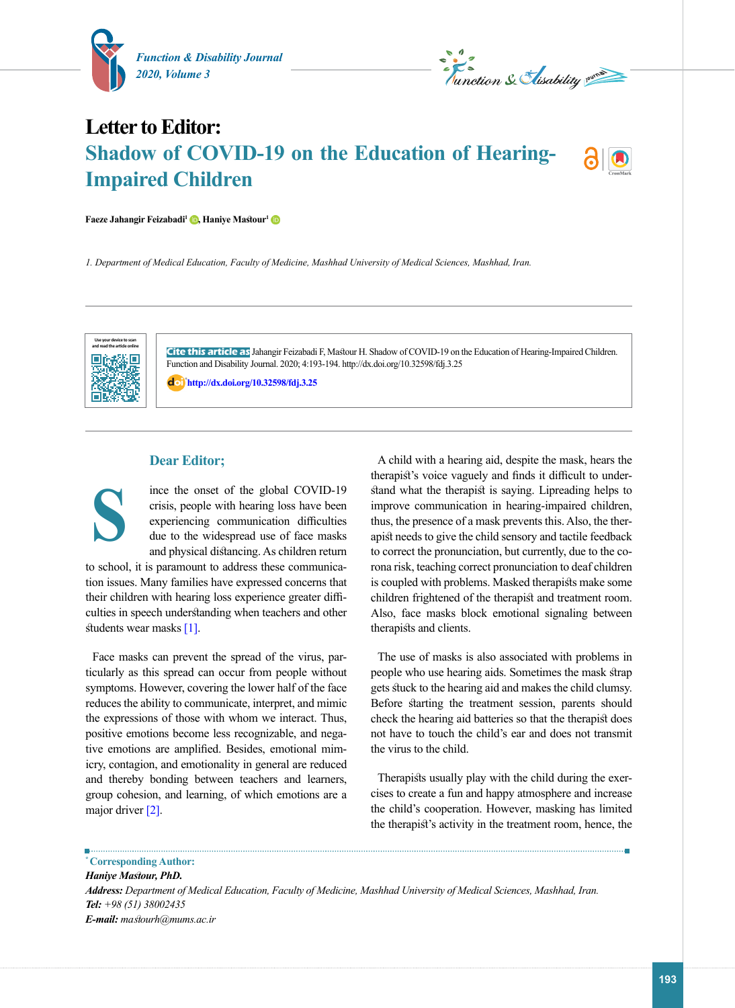

*L*<br>Munction & Elisability numero

## **Letter to Editor: Shadow of COVID-19 on the Education of Hearing-Impaired Children**



**Faeze Jahangir Feizabadi<sup>[1](https://orcid.org/0000-0003-4893-0998)</sup> <b>D**[,](https://orcid.org/0000-0002-5422-6975) **Haniye Mastour<sup>1</sup> D** 

*1. Department of Medical Education, Faculty of Medicine, Mashhad University of Medical Sciences, Mashhad, Iran.*



**S**

**Cite this article as** Jahangir Feizabadi F, Mastour H. Shadow of COVID-19 on the Education of Hearing-Impaired Children. Function and Disability Journal. 2020; 4:193-194. http://dx.doi.org/10.32598/fdj.3.25

: **<http://dx.doi.org/10.32598/fdj.3.25>**

## **Dear Editor;**

ince the onset of the global COVID-19 crisis, people with hearing loss have been experiencing communication difficulties due to the widespread use of face masks and physical distancing. As children return

to school, it is paramount to address these communication issues. Many families have expressed concerns that their children with hearing loss experience greater difficulties in speech understanding when teachers and other students wear masks [\[1\].](#page-1-0)

Face masks can prevent the spread of the virus, particularly as this spread can occur from people without symptoms. However, covering the lower half of the face reduces the ability to communicate, interpret, and mimic the expressions of those with whom we interact. Thus, positive emotions become less recognizable, and negative emotions are amplified. Besides, emotional mimicry, contagion, and emotionality in general are reduced and thereby bonding between teachers and learners, group cohesion, and learning, of which emotions are a major driver [\[2\].](#page-1-1)

A child with a hearing aid, despite the mask, hears the therapist's voice vaguely and finds it difficult to understand what the therapist is saying. Lipreading helps to improve communication in hearing-impaired children, thus, the presence of a mask prevents this. Also, the therapist needs to give the child sensory and tactile feedback to correct the pronunciation, but currently, due to the corona risk, teaching correct pronunciation to deaf children is coupled with problems. Masked therapists make some children frightened of the therapist and treatment room. Also, face masks block emotional signaling between therapists and clients.

The use of masks is also associated with problems in people who use hearing aids. Sometimes the mask strap gets stuck to the hearing aid and makes the child clumsy. Before starting the treatment session, parents should check the hearing aid batteries so that the therapist does not have to touch the child's ear and does not transmit the virus to the child.

Therapists usually play with the child during the exercises to create a fun and happy atmosphere and increase the child's cooperation. However, masking has limited the therapist's activity in the treatment room, hence, the

**\* Corresponding Author:**

*Haniye Mastour, PhD.*

*Address: Department of Medical Education, Faculty of Medicine, Mashhad University of Medical Sciences, Mashhad, Iran. Tel: +98 (51) 38002435 E-mail: mastourh@mums.ac.ir*